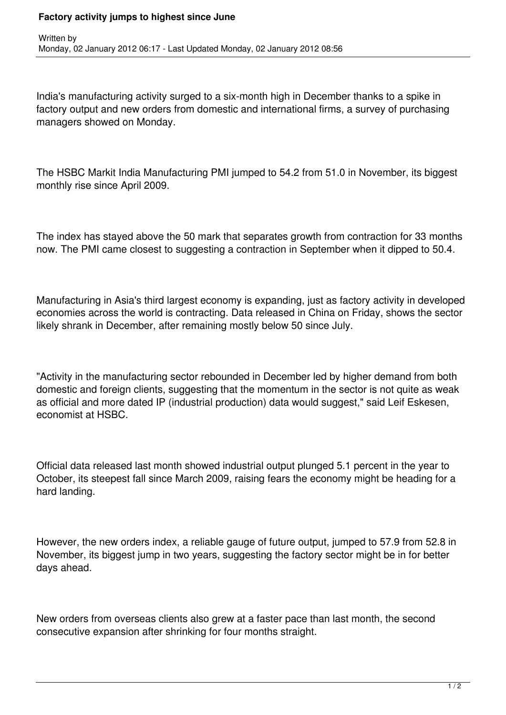## **Factory activity jumps to highest since June**

India's manufacturing activity surged to a six-month high in December thanks to a spike in factory output and new orders from domestic and international firms, a survey of purchasing managers showed on Monday.

The HSBC Markit India Manufacturing PMI jumped to 54.2 from 51.0 in November, its biggest monthly rise since April 2009.

The index has stayed above the 50 mark that separates growth from contraction for 33 months now. The PMI came closest to suggesting a contraction in September when it dipped to 50.4.

Manufacturing in Asia's third largest economy is expanding, just as factory activity in developed economies across the world is contracting. Data released in China on Friday, shows the sector likely shrank in December, after remaining mostly below 50 since July.

"Activity in the manufacturing sector rebounded in December led by higher demand from both domestic and foreign clients, suggesting that the momentum in the sector is not quite as weak as official and more dated IP (industrial production) data would suggest," said Leif Eskesen, economist at HSBC.

Official data released last month showed industrial output plunged 5.1 percent in the year to October, its steepest fall since March 2009, raising fears the economy might be heading for a hard landing.

However, the new orders index, a reliable gauge of future output, jumped to 57.9 from 52.8 in November, its biggest jump in two years, suggesting the factory sector might be in for better days ahead.

New orders from overseas clients also grew at a faster pace than last month, the second consecutive expansion after shrinking for four months straight.